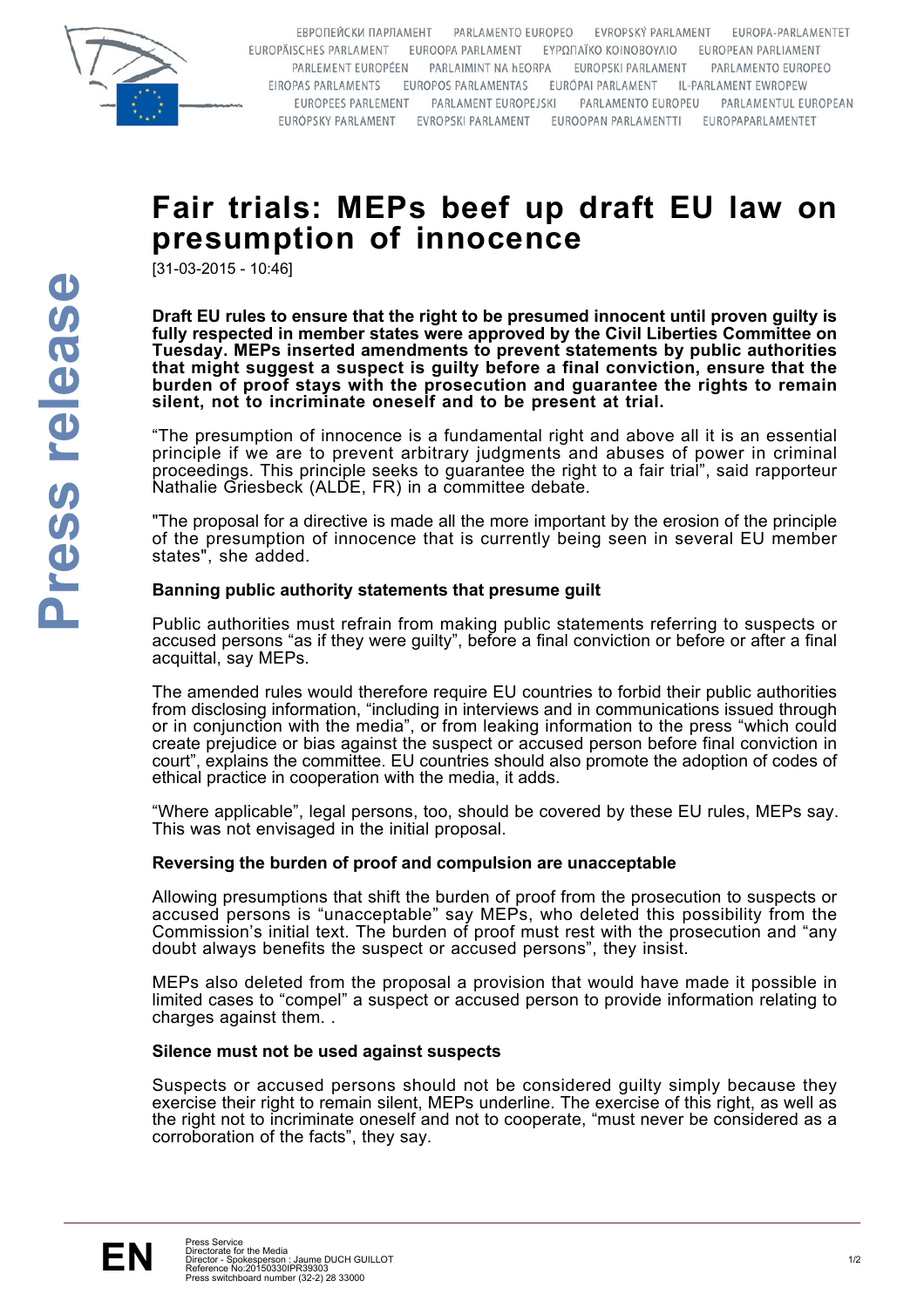

EBPOΠΕЙСКИ ПАРЛАМЕНТ РАRLAMENTO EUROPEO EVROPSKÝ PARLAMENT **FUROPA-PARLAMENTET** EUROPÄISCHES PARLAMENT EUROOPA PARLAMENT EYPONAÏKO KOINOBOYAIO EUROPEAN PARLIAMENT PARLEMENT EUROPÉEN PARLAIMINT NA HEORPA EUROPSKI PARLAMENT PARLAMENTO EUROPEO EIROPAS PARLAMENTS EUROPOS PARLAMENTAS EURÓPAI PARLAMENT IL-PARLAMENT EWROPEW EUROPEES PARLEMENT PARLAMENT EUROPEJSKI PARLAMENTO EUROPEU PARLAMENTUL EUROPEAN EURÓPSKY PARLAMENT EVROPSKI PARLAMENT EUROOPAN PARLAMENTTI EUROPAPARLAMENTET

# **Fair trials: MEPs beef up draft EU law on presumption of innocence**

[31-03-2015 - 10:46]

**Draft EU rules to ensure that the right to be presumed innocent until proven guilty is fully respected in member states were approved by the Civil Liberties Committee on Tuesday. MEPs inserted amendments to prevent statements by public authorities that might suggest a suspect is guilty before a final conviction, ensure that the burden of proof stays with the prosecution and guarantee the rights to remain silent, not to incriminate oneself and to be present at trial.**

"The presumption of innocence is a fundamental right and above all it is an essential principle if we are to prevent arbitrary judgments and abuses of power in criminal proceedings. This principle seeks to guarantee the right to a fair trial", said rapporteur Nathalie Griesbeck (ALDE, FR) in a committee debate.

"The proposal for a directive is made all the more important by the erosion of the principle of the presumption of innocence that is currently being seen in several EU member states", she added.

## **Banning public authority statements that presume guilt**

Public authorities must refrain from making public statements referring to suspects or accused persons "as if they were guilty", before a final conviction or before or after a final acquittal, say MEPs.

The amended rules would therefore require EU countries to forbid their public authorities from disclosing information, "including in interviews and in communications issued through or in conjunction with the media", or from leaking information to the press "which could create prejudice or bias against the suspect or accused person before final conviction in court", explains the committee. EU countries should also promote the adoption of codes of ethical practice in cooperation with the media, it adds.

"Where applicable", legal persons, too, should be covered by these EU rules, MEPs say. This was not envisaged in the initial proposal.

## **Reversing the burden of proof and compulsion are unacceptable**

Allowing presumptions that shift the burden of proof from the prosecution to suspects or accused persons is "unacceptable" say MEPs, who deleted this possibility from the Commission's initial text. The burden of proof must rest with the prosecution and "any doubt always benefits the suspect or accused persons", they insist.

MEPs also deleted from the proposal a provision that would have made it possible in limited cases to "compel" a suspect or accused person to provide information relating to charges against them. .

#### **Silence must not be used against suspects**

Suspects or accused persons should not be considered guilty simply because they exercise their right to remain silent, MEPs underline. The exercise of this right, as well as the right not to incriminate oneself and not to cooperate, "must never be considered as a corroboration of the facts", they say.